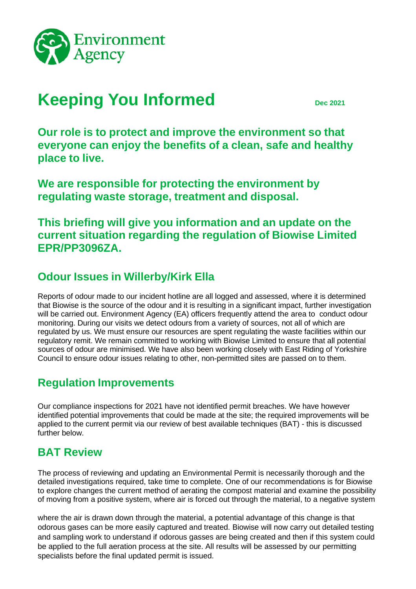

# **Keeping You Informed** Dec 2021

**Our role is to protect and improve the environment so that everyone can enjoy the benefits of a clean, safe and healthy place to live.**

**We are responsible for protecting the environment by regulating waste storage, treatment and disposal.**

**This briefing will give you information and an update on the current situation regarding the regulation of Biowise Limited EPR/PP3096ZA.**

### **Odour Issues in Willerby/Kirk Ella**

Reports of odour made to our incident hotline are all logged and assessed, where it is determined that Biowise is the source of the odour and it is resulting in a significant impact, further investigation will be carried out. Environment Agency (EA) officers frequently attend the area to conduct odour monitoring. During our visits we detect odours from a variety of sources, not all of which are regulated by us. We must ensure our resources are spent regulating the waste facilities within our regulatory remit. We remain committed to working with Biowise Limited to ensure that all potential sources of odour are minimised. We have also been working closely with East Riding of Yorkshire Council to ensure odour issues relating to other, non-permitted sites are passed on to them.

### **Regulation Improvements**

Our compliance inspections for 2021 have not identified permit breaches. We have however identified potential improvements that could be made at the site; the required improvements will be applied to the current permit via our review of best available techniques (BAT) - this is discussed further below.

### **BAT Review**

The process of reviewing and updating an Environmental Permit is necessarily thorough and the detailed investigations required, take time to complete. One of our recommendations is for Biowise to explore changes the current method of aerating the compost material and examine the possibility of moving from a positive system, where air is forced out through the material, to a negative system

where the air is drawn down through the material, a potential advantage of this change is that odorous gases can be more easily captured and treated. Biowise will now carry out detailed testing and sampling work to understand if odorous gasses are being created and then if this system could be applied to the full aeration process at the site. All results will be assessed by our permitting specialists before the final updated permit is issued.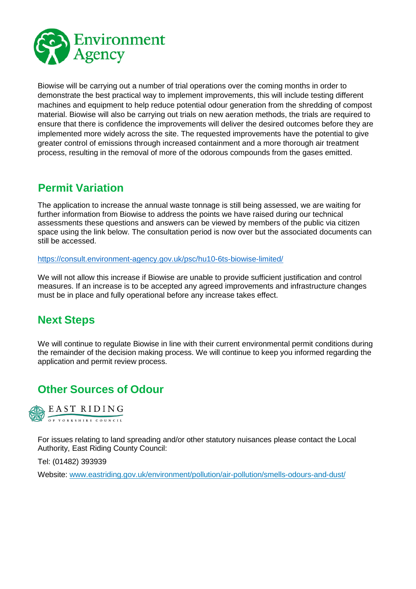

Biowise will be carrying out a number of trial operations over the coming months in order to demonstrate the best practical way to implement improvements, this will include testing different machines and equipment to help reduce potential odour generation from the shredding of compost material. Biowise will also be carrying out trials on new aeration methods, the trials are required to ensure that there is confidence the improvements will deliver the desired outcomes before they are implemented more widely across the site. The requested improvements have the potential to give greater control of emissions through increased containment and a more thorough air treatment process, resulting in the removal of more of the odorous compounds from the gases emitted.

### **Permit Variation**

The application to increase the annual waste tonnage is still being assessed, we are waiting for further information from Biowise to address the points we have raised during our technical assessments these questions and answers can be viewed by members of the public via citizen space using the link below. The consultation period is now over but the associated documents can still be accessed.

<https://consult.environment-agency.gov.uk/psc/hu10-6ts-biowise-limited/>

We will not allow this increase if Biowise are unable to provide sufficient justification and control measures. If an increase is to be accepted any agreed improvements and infrastructure changes must be in place and fully operational before any increase takes effect.

## **Next Steps**

We will continue to regulate Biowise in line with their current environmental permit conditions during the remainder of the decision making process. We will continue to keep you informed regarding the application and permit review process.

## **Other Sources of Odour**



For issues relating to land spreading and/or other statutory nuisances please contact the Local Authority, East Riding County Council:

Tel: (01482) 393939

Website: [www.eastriding.gov.uk/environment/pollution/air-pollution/smells-odours-and-dust/](http://www.eastriding.gov.uk/environment/pollution/air-pollution/smells-odours-and-dust/)